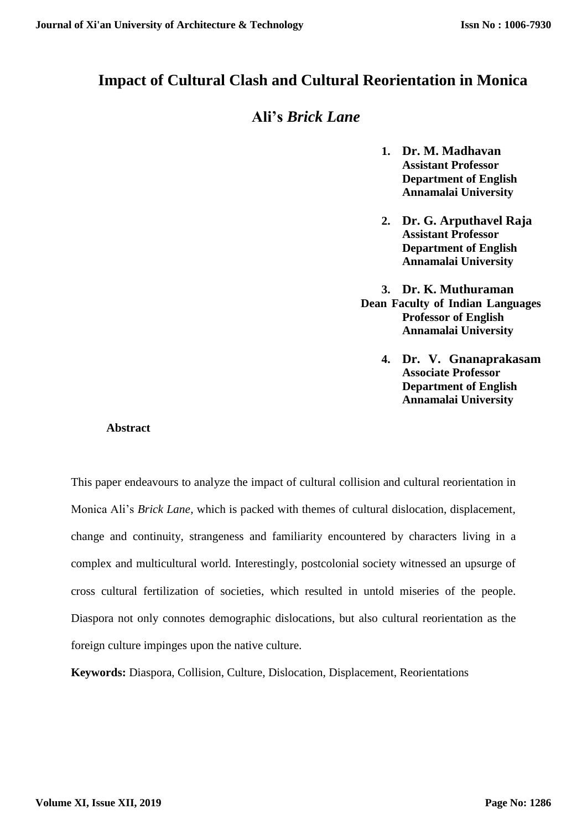## **Impact of Cultural Clash and Cultural Reorientation in Monica**

# **Ali's** *Brick Lane*

- **1. Dr. M. Madhavan Assistant Professor Department of English Annamalai University**
- **2. Dr. G. Arputhavel Raja Assistant Professor Department of English Annamalai University**
- **3. Dr. K. Muthuraman Dean Faculty of Indian Languages Professor of English Annamalai University**
	- **4. Dr. V. Gnanaprakasam Associate Professor Department of English Annamalai University**

### **Abstract**

This paper endeavours to analyze the impact of cultural collision and cultural reorientation in Monica Ali's *Brick Lane,* which is packed with themes of cultural dislocation, displacement, change and continuity, strangeness and familiarity encountered by characters living in a complex and multicultural world. Interestingly, postcolonial society witnessed an upsurge of cross cultural fertilization of societies, which resulted in untold miseries of the people. Diaspora not only connotes demographic dislocations, but also cultural reorientation as the foreign culture impinges upon the native culture.

**Keywords:** Diaspora, Collision, Culture, Dislocation, Displacement, Reorientations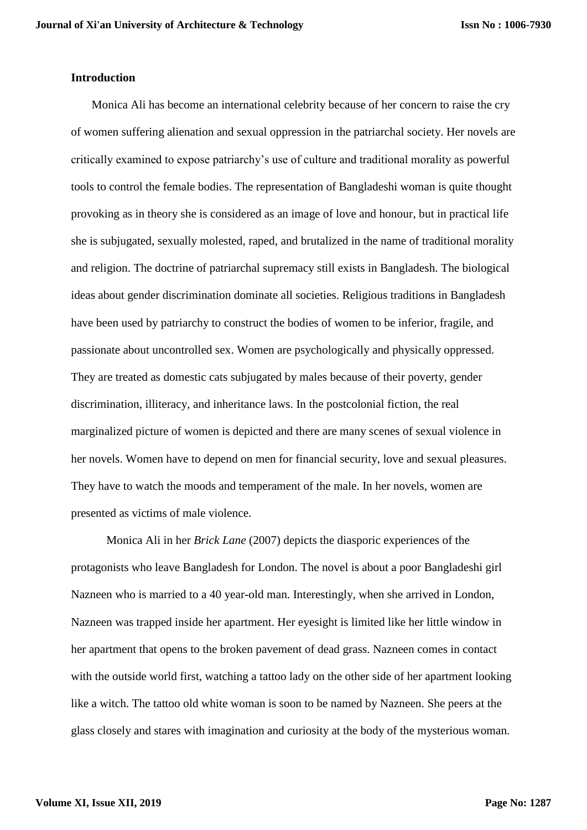### **Introduction**

Monica Ali has become an international celebrity because of her concern to raise the cry of women suffering alienation and sexual oppression in the patriarchal society. Her novels are critically examined to expose patriarchy's use of culture and traditional morality as powerful tools to control the female bodies. The representation of Bangladeshi woman is quite thought provoking as in theory she is considered as an image of love and honour, but in practical life she is subjugated, sexually molested, raped, and brutalized in the name of traditional morality and religion. The doctrine of patriarchal supremacy still exists in Bangladesh. The biological ideas about gender discrimination dominate all societies. Religious traditions in Bangladesh have been used by patriarchy to construct the bodies of women to be inferior, fragile, and passionate about uncontrolled sex. Women are psychologically and physically oppressed. They are treated as domestic cats subjugated by males because of their poverty, gender discrimination, illiteracy, and inheritance laws. In the postcolonial fiction, the real marginalized picture of women is depicted and there are many scenes of sexual violence in her novels. Women have to depend on men for financial security, love and sexual pleasures. They have to watch the moods and temperament of the male. In her novels, women are presented as victims of male violence.

Monica Ali in her *Brick Lane* (2007) depicts the diasporic experiences of the protagonists who leave Bangladesh for London. The novel is about a poor Bangladeshi girl Nazneen who is married to a 40 year-old man. Interestingly, when she arrived in London, Nazneen was trapped inside her apartment. Her eyesight is limited like her little window in her apartment that opens to the broken pavement of dead grass. Nazneen comes in contact with the outside world first, watching a tattoo lady on the other side of her apartment looking like a witch. The tattoo old white woman is soon to be named by Nazneen. She peers at the glass closely and stares with imagination and curiosity at the body of the mysterious woman.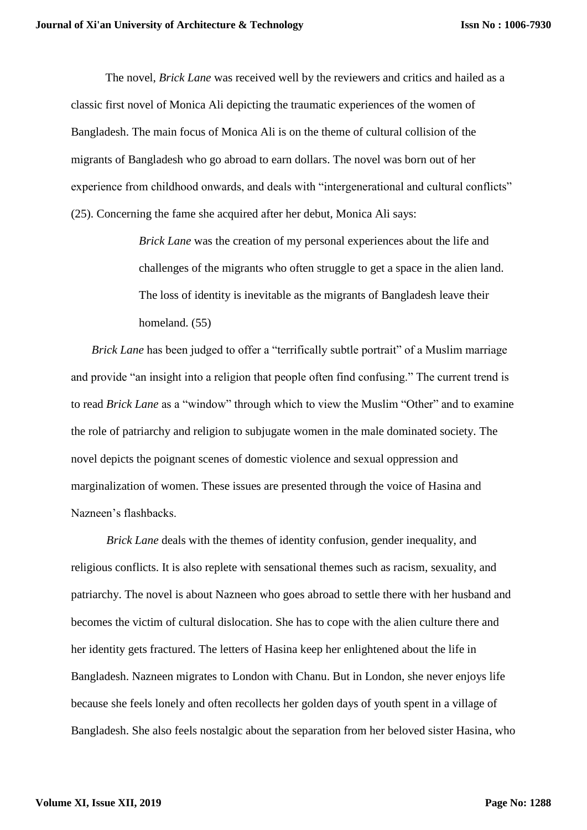The novel, *Brick Lane* was received well by the reviewers and critics and hailed as a classic first novel of Monica Ali depicting the traumatic experiences of the women of Bangladesh. The main focus of Monica Ali is on the theme of cultural collision of the migrants of Bangladesh who go abroad to earn dollars. The novel was born out of her experience from childhood onwards, and deals with "intergenerational and cultural conflicts" (25). Concerning the fame she acquired after her debut, Monica Ali says:

> *Brick Lane* was the creation of my personal experiences about the life and challenges of the migrants who often struggle to get a space in the alien land. The loss of identity is inevitable as the migrants of Bangladesh leave their homeland. (55)

*Brick Lane* has been judged to offer a "terrifically subtle portrait" of a Muslim marriage and provide "an insight into a religion that people often find confusing." The current trend is to read *Brick Lane* as a "window" through which to view the Muslim "Other" and to examine the role of patriarchy and religion to subjugate women in the male dominated society. The novel depicts the poignant scenes of domestic violence and sexual oppression and marginalization of women. These issues are presented through the voice of Hasina and Nazneen's flashbacks.

*Brick Lane* deals with the themes of identity confusion, gender inequality, and religious conflicts. It is also replete with sensational themes such as racism, sexuality, and patriarchy. The novel is about Nazneen who goes abroad to settle there with her husband and becomes the victim of cultural dislocation. She has to cope with the alien culture there and her identity gets fractured. The letters of Hasina keep her enlightened about the life in Bangladesh. Nazneen migrates to London with Chanu. But in London, she never enjoys life because she feels lonely and often recollects her golden days of youth spent in a village of Bangladesh. She also feels nostalgic about the separation from her beloved sister Hasina, who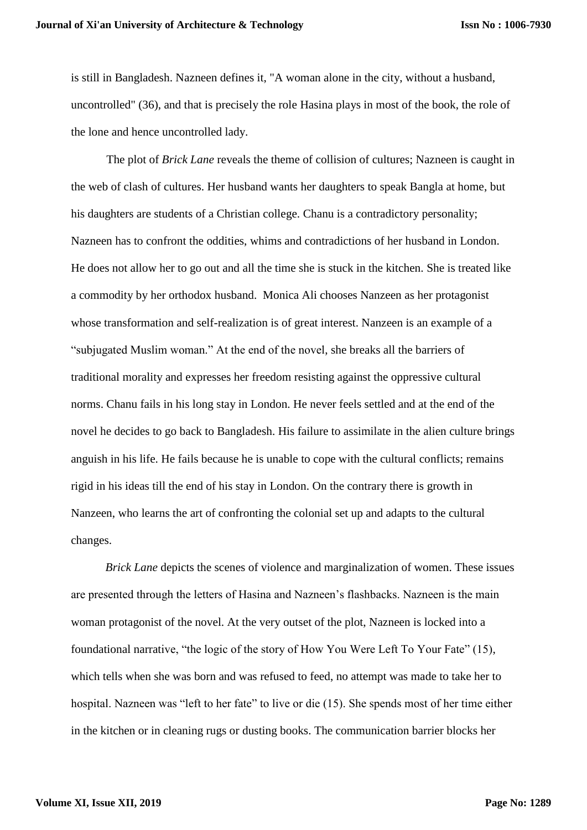is still in Bangladesh. Nazneen defines it, "A woman alone in the city, without a husband, uncontrolled" (36), and that is precisely the role Hasina plays in most of the book, the role of the lone and hence uncontrolled lady.

The plot of *Brick Lane* reveals the theme of collision of cultures; Nazneen is caught in the web of clash of cultures. Her husband wants her daughters to speak Bangla at home, but his daughters are students of a Christian college. Chanu is a contradictory personality; Nazneen has to confront the oddities, whims and contradictions of her husband in London. He does not allow her to go out and all the time she is stuck in the kitchen. She is treated like a commodity by her orthodox husband. Monica Ali chooses Nanzeen as her protagonist whose transformation and self-realization is of great interest. Nanzeen is an example of a "subjugated Muslim woman." At the end of the novel, she breaks all the barriers of traditional morality and expresses her freedom resisting against the oppressive cultural norms. Chanu fails in his long stay in London. He never feels settled and at the end of the novel he decides to go back to Bangladesh. His failure to assimilate in the alien culture brings anguish in his life. He fails because he is unable to cope with the cultural conflicts; remains rigid in his ideas till the end of his stay in London. On the contrary there is growth in Nanzeen, who learns the art of confronting the colonial set up and adapts to the cultural changes.

*Brick Lane* depicts the scenes of violence and marginalization of women. These issues are presented through the letters of Hasina and Nazneen's flashbacks. Nazneen is the main woman protagonist of the novel. At the very outset of the plot, Nazneen is locked into a foundational narrative, "the logic of the story of How You Were Left To Your Fate" (15), which tells when she was born and was refused to feed, no attempt was made to take her to hospital. Nazneen was "left to her fate" to live or die (15). She spends most of her time either in the kitchen or in cleaning rugs or dusting books. The communication barrier blocks her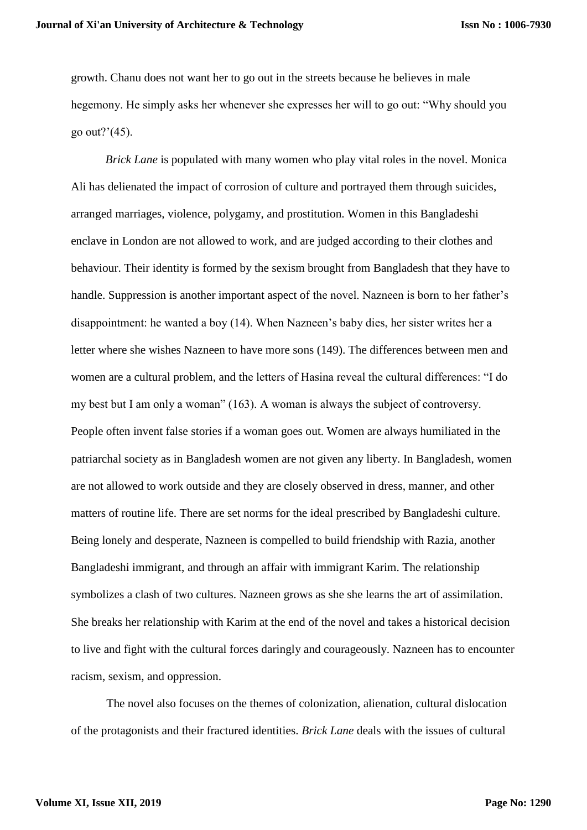growth. Chanu does not want her to go out in the streets because he believes in male hegemony. He simply asks her whenever she expresses her will to go out: "Why should you go out?'(45).

*Brick Lane* is populated with many women who play vital roles in the novel. Monica Ali has delienated the impact of corrosion of culture and portrayed them through suicides, arranged marriages, violence, polygamy, and prostitution. Women in this Bangladeshi enclave in London are not allowed to work, and are judged according to their clothes and behaviour. Their identity is formed by the sexism brought from Bangladesh that they have to handle. Suppression is another important aspect of the novel. Nazneen is born to her father's disappointment: he wanted a boy (14). When Nazneen's baby dies, her sister writes her a letter where she wishes Nazneen to have more sons (149). The differences between men and women are a cultural problem, and the letters of Hasina reveal the cultural differences: "I do my best but I am only a woman" (163). A woman is always the subject of controversy. People often invent false stories if a woman goes out. Women are always humiliated in the patriarchal society as in Bangladesh women are not given any liberty. In Bangladesh, women are not allowed to work outside and they are closely observed in dress, manner, and other matters of routine life. There are set norms for the ideal prescribed by Bangladeshi culture. Being lonely and desperate, Nazneen is compelled to build friendship with Razia, another Bangladeshi immigrant, and through an affair with immigrant Karim. The relationship symbolizes a clash of two cultures. Nazneen grows as she she learns the art of assimilation. She breaks her relationship with Karim at the end of the novel and takes a historical decision to live and fight with the cultural forces daringly and courageously. Nazneen has to encounter racism, sexism, and oppression.

The novel also focuses on the themes of colonization, alienation, cultural dislocation of the protagonists and their fractured identities. *Brick Lane* deals with the issues of cultural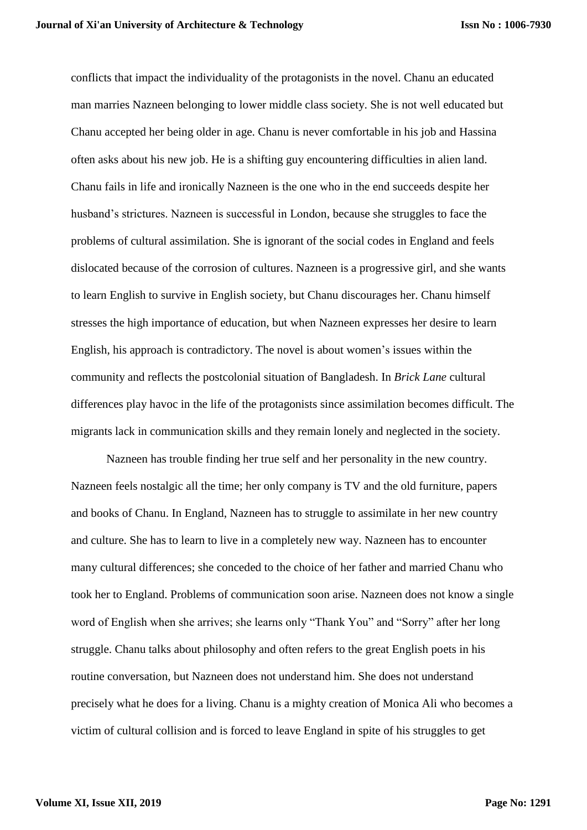conflicts that impact the individuality of the protagonists in the novel. Chanu an educated man marries Nazneen belonging to lower middle class society. She is not well educated but Chanu accepted her being older in age. Chanu is never comfortable in his job and Hassina often asks about his new job. He is a shifting guy encountering difficulties in alien land. Chanu fails in life and ironically Nazneen is the one who in the end succeeds despite her husband's strictures. Nazneen is successful in London, because she struggles to face the problems of cultural assimilation. She is ignorant of the social codes in England and feels dislocated because of the corrosion of cultures. Nazneen is a progressive girl, and she wants to learn English to survive in English society, but Chanu discourages her. Chanu himself stresses the high importance of education, but when Nazneen expresses her desire to learn English, his approach is contradictory. The novel is about women's issues within the community and reflects the postcolonial situation of Bangladesh. In *Brick Lane* cultural differences play havoc in the life of the protagonists since assimilation becomes difficult. The migrants lack in communication skills and they remain lonely and neglected in the society.

Nazneen has trouble finding her true self and her personality in the new country. Nazneen feels nostalgic all the time; her only company is TV and the old furniture, papers and books of Chanu. In England, Nazneen has to struggle to assimilate in her new country and culture. She has to learn to live in a completely new way. Nazneen has to encounter many cultural differences; she conceded to the choice of her father and married Chanu who took her to England. Problems of communication soon arise. Nazneen does not know a single word of English when she arrives; she learns only "Thank You" and "Sorry" after her long struggle. Chanu talks about philosophy and often refers to the great English poets in his routine conversation, but Nazneen does not understand him. She does not understand precisely what he does for a living. Chanu is a mighty creation of Monica Ali who becomes a victim of cultural collision and is forced to leave England in spite of his struggles to get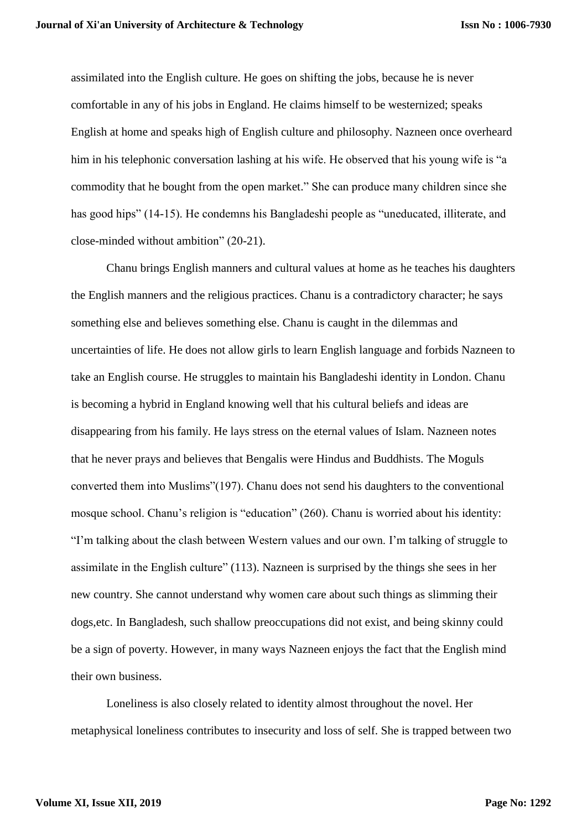assimilated into the English culture. He goes on shifting the jobs, because he is never comfortable in any of his jobs in England. He claims himself to be westernized; speaks English at home and speaks high of English culture and philosophy. Nazneen once overheard him in his telephonic conversation lashing at his wife. He observed that his young wife is "a commodity that he bought from the open market." She can produce many children since she has good hips" (14-15). He condemns his Bangladeshi people as "uneducated, illiterate, and close-minded without ambition" (20-21).

Chanu brings English manners and cultural values at home as he teaches his daughters the English manners and the religious practices. Chanu is a contradictory character; he says something else and believes something else. Chanu is caught in the dilemmas and uncertainties of life. He does not allow girls to learn English language and forbids Nazneen to take an English course. He struggles to maintain his Bangladeshi identity in London. Chanu is becoming a hybrid in England knowing well that his cultural beliefs and ideas are disappearing from his family. He lays stress on the eternal values of Islam. Nazneen notes that he never prays and believes that Bengalis were Hindus and Buddhists. The Moguls converted them into Muslims"(197). Chanu does not send his daughters to the conventional mosque school. Chanu's religion is "education" (260). Chanu is worried about his identity: "I'm talking about the clash between Western values and our own. I'm talking of struggle to assimilate in the English culture" (113). Nazneen is surprised by the things she sees in her new country. She cannot understand why women care about such things as slimming their dogs,etc. In Bangladesh, such shallow preoccupations did not exist, and being skinny could be a sign of poverty. However, in many ways Nazneen enjoys the fact that the English mind their own business.

Loneliness is also closely related to identity almost throughout the novel. Her metaphysical loneliness contributes to insecurity and loss of self. She is trapped between two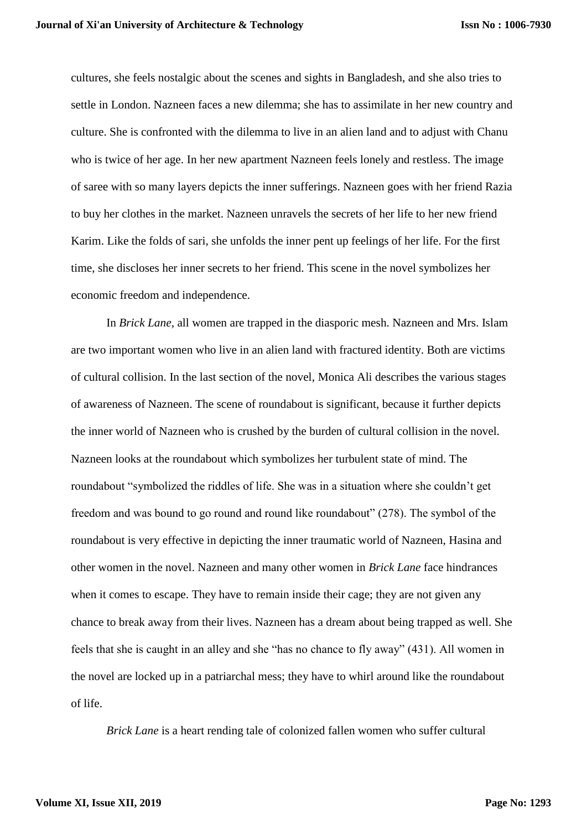cultures, she feels nostalgic about the scenes and sights in Bangladesh, and she also tries to settle in London. Nazneen faces a new dilemma; she has to assimilate in her new country and culture. She is confronted with the dilemma to live in an alien land and to adjust with Chanu who is twice of her age. In her new apartment Nazneen feels lonely and restless. The image of saree with so many layers depicts the inner sufferings. Nazneen goes with her friend Razia to buy her clothes in the market. Nazneen unravels the secrets of her life to her new friend Karim. Like the folds of sari, she unfolds the inner pent up feelings of her life. For the first time, she discloses her inner secrets to her friend. This scene in the novel symbolizes her economic freedom and independence.

In *Brick Lane,* all women are trapped in the diasporic mesh. Nazneen and Mrs. Islam are two important women who live in an alien land with fractured identity. Both are victims of cultural collision. In the last section of the novel, Monica Ali describes the various stages of awareness of Nazneen. The scene of roundabout is significant, because it further depicts the inner world of Nazneen who is crushed by the burden of cultural collision in the novel. Nazneen looks at the roundabout which symbolizes her turbulent state of mind. The roundabout "symbolized the riddles of life. She was in a situation where she couldn't get freedom and was bound to go round and round like roundabout" (278). The symbol of the roundabout is very effective in depicting the inner traumatic world of Nazneen, Hasina and other women in the novel. Nazneen and many other women in *Brick Lane* face hindrances when it comes to escape. They have to remain inside their cage; they are not given any chance to break away from their lives. Nazneen has a dream about being trapped as well. She feels that she is caught in an alley and she "has no chance to fly away" (431). All women in the novel are locked up in a patriarchal mess; they have to whirl around like the roundabout of life.

*Brick Lane* is a heart rending tale of colonized fallen women who suffer cultural